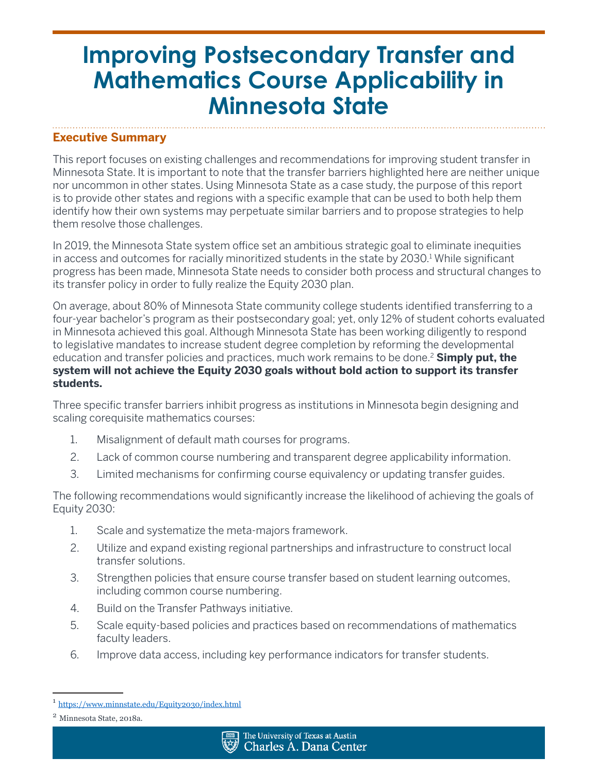### **Executive Summary**

This report focuses on existing challenges and recommendations for improving student transfer in Minnesota State. It is important to note that the transfer barriers highlighted here are neither unique nor uncommon in other states. Using Minnesota State as a case study, the purpose of this report is to provide other states and regions with a specific example that can be used to both help them identify how their own systems may perpetuate similar barriers and to propose strategies to help them resolve those challenges.

In 2019, the Minnesota State system office set an ambitious strategic goal to eliminate inequities in access and outcomes for racially minoritized students in the state by 2030.<sup>1</sup> While significant progress has been made, Minnesota State needs to consider both process and structural changes to its transfer policy in order to fully realize the Equity 2030 plan.

On average, about 80% of Minnesota State community college students identified transferring to a four-year bachelor's program as their postsecondary goal; yet, only 12% of student cohorts evaluated in Minnesota achieved this goal. Although Minnesota State has been working diligently to respond to legislative mandates to increase student degree completion by reforming the developmental education and transfer policies and practices, much work remains to be done.2 **Simply put, the system will not achieve the Equity 2030 goals without bold action to support its transfer students.**

Three specific transfer barriers inhibit progress as institutions in Minnesota begin designing and scaling corequisite mathematics courses:

- 1. Misalignment of default math courses for programs.
- 2. Lack of common course numbering and transparent degree applicability information.
- 3. Limited mechanisms for confirming course equivalency or updating transfer guides.

The following recommendations would significantly increase the likelihood of achieving the goals of Equity 2030:

- 1. Scale and systematize the meta-majors framework.
- 2. Utilize and expand existing regional partnerships and infrastructure to construct local transfer solutions.
- 3. Strengthen policies that ensure course transfer based on student learning outcomes, including common course numbering.
- 4. Build on the Transfer Pathways initiative.
- 5. Scale equity-based policies and practices based on recommendations of mathematics faculty leaders.
- 6. Improve data access, including key performance indicators for transfer students.

<sup>1</sup> <https://www.minnstate.edu/Equity2030/index.html>

<sup>2</sup> Minnesota State, 2018a.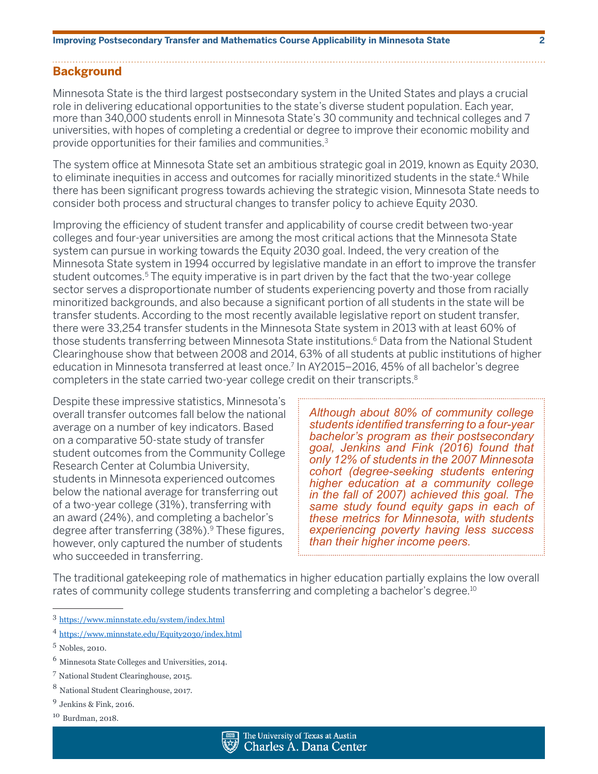### **Background**

Minnesota State is the third largest postsecondary system in the United States and plays a crucial role in delivering educational opportunities to the state's diverse student population. Each year, more than 340,000 students enroll in Minnesota State's 30 community and technical colleges and 7 universities, with hopes of completing a credential or degree to improve their economic mobility and provide opportunities for their families and communities.3

The system office at Minnesota State set an ambitious strategic goal in 2019, known as Equity 2030, to eliminate inequities in access and outcomes for racially minoritized students in the state.<sup>4</sup> While there has been significant progress towards achieving the strategic vision, Minnesota State needs to consider both process and structural changes to transfer policy to achieve Equity 2030.

Improving the efficiency of student transfer and applicability of course credit between two-year colleges and four-year universities are among the most critical actions that the Minnesota State system can pursue in working towards the Equity 2030 goal. Indeed, the very creation of the Minnesota State system in 1994 occurred by legislative mandate in an effort to improve the transfer student outcomes.<sup>5</sup> The equity imperative is in part driven by the fact that the two-year college sector serves a disproportionate number of students experiencing poverty and those from racially minoritized backgrounds, and also because a significant portion of all students in the state will be transfer students. According to the most recently available legislative report on student transfer, there were 33,254 transfer students in the Minnesota State system in 2013 with at least 60% of those students transferring between Minnesota State institutions.<sup>6</sup> Data from the National Student Clearinghouse show that between 2008 and 2014, 63% of all students at public institutions of higher education in Minnesota transferred at least once.7 In AY2015–2016, 45% of all bachelor's degree completers in the state carried two-year college credit on their transcripts.<sup>8</sup>

Despite these impressive statistics, Minnesota's overall transfer outcomes fall below the national average on a number of key indicators. Based on a comparative 50-state study of transfer student outcomes from the Community College Research Center at Columbia University, students in Minnesota experienced outcomes below the national average for transferring out of a two-year college (31%), transferring with an award (24%), and completing a bachelor's degree after transferring (38%).<sup>9</sup> These figures, however, only captured the number of students who succeeded in transferring.

*Although about 80% of community college students identified transferring to a four-year bachelor's program as their postsecondary goal, Jenkins and Fink (2016) found that only 12% of students in the 2007 Minnesota cohort (degree-seeking students entering higher education at a community college in the fall of 2007) achieved this goal. The same study found equity gaps in each of these metrics for Minnesota, with students experiencing poverty having less success than their higher income peers.*

The traditional gatekeeping role of mathematics in higher education partially explains the low overall rates of community college students transferring and completing a bachelor's degree.<sup>10</sup>

<sup>10</sup> Burdman, 2018.



<sup>3</sup> <https://www.minnstate.edu/system/index.html>

<sup>4</sup> <https://www.minnstate.edu/Equity2030/index.html>

<sup>5</sup> Nobles, 2010.

<sup>6</sup> Minnesota State Colleges and Universities, 2014.

<sup>7</sup> National Student Clearinghouse, 2015.

<sup>8</sup> National Student Clearinghouse, 2017.

<sup>9</sup> Jenkins & Fink, 2016.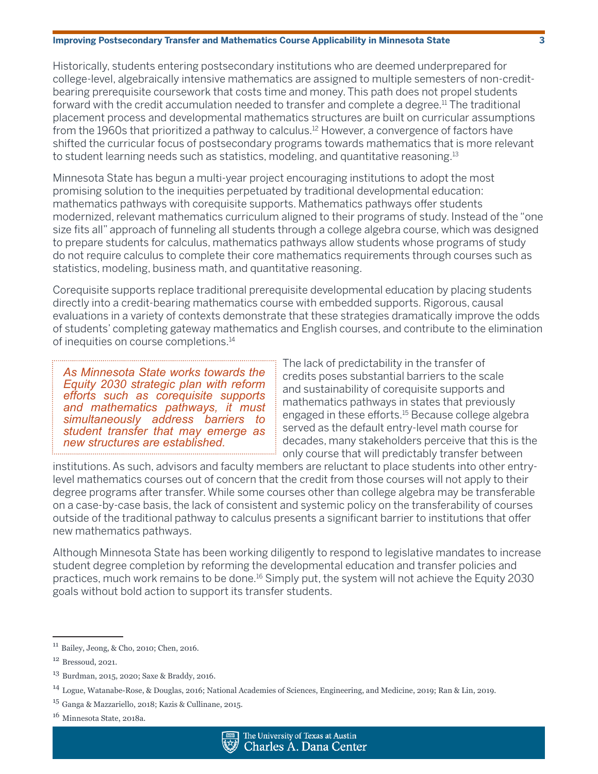Historically, students entering postsecondary institutions who are deemed underprepared for college-level, algebraically intensive mathematics are assigned to multiple semesters of non-creditbearing prerequisite coursework that costs time and money. This path does not propel students forward with the credit accumulation needed to transfer and complete a degree.<sup>11</sup> The traditional placement process and developmental mathematics structures are built on curricular assumptions from the 1960s that prioritized a pathway to calculus.12 However, a convergence of factors have shifted the curricular focus of postsecondary programs towards mathematics that is more relevant to student learning needs such as statistics, modeling, and quantitative reasoning.13

Minnesota State has begun a multi-year project encouraging institutions to adopt the most promising solution to the inequities perpetuated by traditional developmental education: mathematics pathways with corequisite supports. Mathematics pathways offer students modernized, relevant mathematics curriculum aligned to their programs of study. Instead of the "one size fits all" approach of funneling all students through a college algebra course, which was designed to prepare students for calculus, mathematics pathways allow students whose programs of study do not require calculus to complete their core mathematics requirements through courses such as statistics, modeling, business math, and quantitative reasoning.

Corequisite supports replace traditional prerequisite developmental education by placing students directly into a credit-bearing mathematics course with embedded supports. Rigorous, causal evaluations in a variety of contexts demonstrate that these strategies dramatically improve the odds of students' completing gateway mathematics and English courses, and contribute to the elimination of inequities on course completions.<sup>14</sup>

*As Minnesota State works towards the Equity 2030 strategic plan with reform efforts such as corequisite supports and mathematics pathways, it must simultaneously address barriers to student transfer that may emerge as new structures are established.*

The lack of predictability in the transfer of credits poses substantial barriers to the scale and sustainability of corequisite supports and mathematics pathways in states that previously engaged in these efforts.15 Because college algebra served as the default entry-level math course for decades, many stakeholders perceive that this is the only course that will predictably transfer between

institutions. As such, advisors and faculty members are reluctant to place students into other entrylevel mathematics courses out of concern that the credit from those courses will not apply to their degree programs after transfer. While some courses other than college algebra may be transferable on a case-by-case basis, the lack of consistent and systemic policy on the transferability of courses outside of the traditional pathway to calculus presents a significant barrier to institutions that offer new mathematics pathways.

Although Minnesota State has been working diligently to respond to legislative mandates to increase student degree completion by reforming the developmental education and transfer policies and practices, much work remains to be done.16 Simply put, the system will not achieve the Equity 2030 goals without bold action to support its transfer students.



<sup>11</sup> Bailey, Jeong, & Cho, 2010; Chen, 2016.

<sup>12</sup> Bressoud, 2021.

<sup>13</sup> Burdman, 2015, 2020; Saxe & Braddy, 2016.

<sup>14</sup> Logue, Watanabe-Rose, & Douglas, 2016; National Academies of Sciences, Engineering, and Medicine, 2019; Ran & Lin, 2019.

<sup>15</sup> Ganga & Mazzariello, 2018; Kazis & Cullinane, 2015.

<sup>&</sup>lt;sup>16</sup> Minnesota State, 2018a.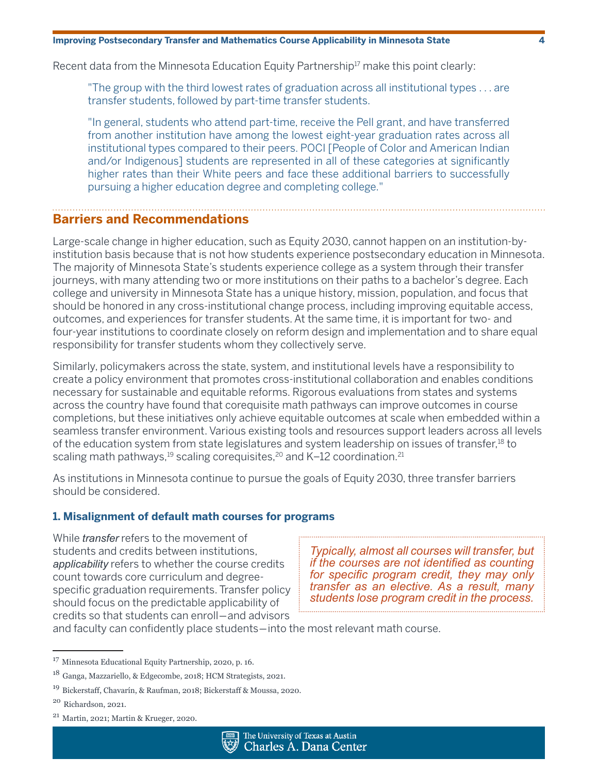Recent data from the Minnesota Education Equity Partnership<sup>17</sup> make this point clearly:

"The group with the third lowest rates of graduation across all institutional types . . . are transfer students, followed by part-time transfer students.

"In general, students who attend part-time, receive the Pell grant, and have transferred from another institution have among the lowest eight-year graduation rates across all institutional types compared to their peers. POCI [People of Color and American Indian and/or Indigenous] students are represented in all of these categories at significantly higher rates than their White peers and face these additional barriers to successfully pursuing a higher education degree and completing college."

### **Barriers and Recommendations**

Large-scale change in higher education, such as Equity 2030, cannot happen on an institution-byinstitution basis because that is not how students experience postsecondary education in Minnesota. The majority of Minnesota State's students experience college as a system through their transfer journeys, with many attending two or more institutions on their paths to a bachelor's degree. Each college and university in Minnesota State has a unique history, mission, population, and focus that should be honored in any cross-institutional change process, including improving equitable access, outcomes, and experiences for transfer students. At the same time, it is important for two- and four-year institutions to coordinate closely on reform design and implementation and to share equal responsibility for transfer students whom they collectively serve.

Similarly, policymakers across the state, system, and institutional levels have a responsibility to create a policy environment that promotes cross-institutional collaboration and enables conditions necessary for sustainable and equitable reforms. Rigorous evaluations from states and systems across the country have found that corequisite math pathways can improve outcomes in course completions, but these initiatives only achieve equitable outcomes at scale when embedded within a seamless transfer environment. Various existing tools and resources support leaders across all levels of the education system from state legislatures and system leadership on issues of transfer,18 to scaling math pathways, $19$  scaling corequisites, $20$  and K-12 coordination. $21$ 

As institutions in Minnesota continue to pursue the goals of Equity 2030, three transfer barriers should be considered.

### **1. Misalignment of default math courses for programs**

While *transfer* refers to the movement of students and credits between institutions, *applicability* refers to whether the course credits count towards core curriculum and degreespecific graduation requirements. Transfer policy should focus on the predictable applicability of credits so that students can enroll―and advisors

*Typically, almost all courses will transfer, but if the courses are not identified as counting for specific program credit, they may only transfer as an elective. As a result, many students lose program credit in the process.*

and faculty can confidently place students―into the most relevant math course.

<sup>21</sup> Martin, 2021; Martin & Krueger, 2020.



<sup>17</sup> Minnesota Educational Equity Partnership, 2020, p. 16.

<sup>18</sup> Ganga, Mazzariello, & Edgecombe, 2018; HCM Strategists, 2021.

<sup>19</sup> Bickerstaff, Chavarín, & Raufman, 2018; Bickerstaff & Moussa, 2020.

<sup>20</sup> Richardson, 2021.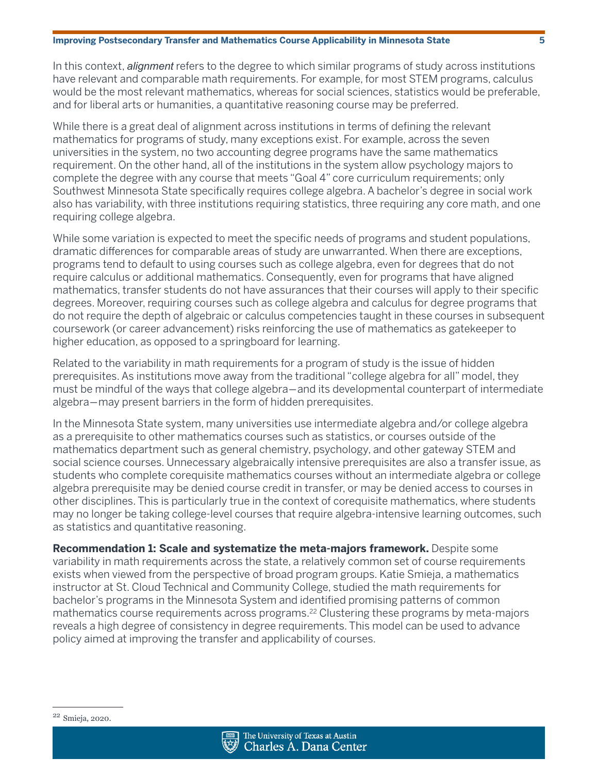In this context, *alignment* refers to the degree to which similar programs of study across institutions have relevant and comparable math requirements. For example, for most STEM programs, calculus would be the most relevant mathematics, whereas for social sciences, statistics would be preferable, and for liberal arts or humanities, a quantitative reasoning course may be preferred.

While there is a great deal of alignment across institutions in terms of defining the relevant mathematics for programs of study, many exceptions exist. For example, across the seven universities in the system, no two accounting degree programs have the same mathematics requirement. On the other hand, all of the institutions in the system allow psychology majors to complete the degree with any course that meets "Goal 4" core curriculum requirements; only Southwest Minnesota State specifically requires college algebra. A bachelor's degree in social work also has variability, with three institutions requiring statistics, three requiring any core math, and one requiring college algebra.

While some variation is expected to meet the specific needs of programs and student populations, dramatic differences for comparable areas of study are unwarranted. When there are exceptions, programs tend to default to using courses such as college algebra, even for degrees that do not require calculus or additional mathematics. Consequently, even for programs that have aligned mathematics, transfer students do not have assurances that their courses will apply to their specific degrees. Moreover, requiring courses such as college algebra and calculus for degree programs that do not require the depth of algebraic or calculus competencies taught in these courses in subsequent coursework (or career advancement) risks reinforcing the use of mathematics as gatekeeper to higher education, as opposed to a springboard for learning.

Related to the variability in math requirements for a program of study is the issue of hidden prerequisites. As institutions move away from the traditional "college algebra for all" model, they must be mindful of the ways that college algebra―and its developmental counterpart of intermediate algebra―may present barriers in the form of hidden prerequisites.

In the Minnesota State system, many universities use intermediate algebra and/or college algebra as a prerequisite to other mathematics courses such as statistics, or courses outside of the mathematics department such as general chemistry, psychology, and other gateway STEM and social science courses. Unnecessary algebraically intensive prerequisites are also a transfer issue, as students who complete corequisite mathematics courses without an intermediate algebra or college algebra prerequisite may be denied course credit in transfer, or may be denied access to courses in other disciplines. This is particularly true in the context of corequisite mathematics, where students may no longer be taking college-level courses that require algebra-intensive learning outcomes, such as statistics and quantitative reasoning.

**Recommendation 1: Scale and systematize the meta-majors framework.** Despite some variability in math requirements across the state, a relatively common set of course requirements exists when viewed from the perspective of broad program groups. Katie Smieja, a mathematics instructor at St. Cloud Technical and Community College, studied the math requirements for bachelor's programs in the Minnesota System and identified promising patterns of common mathematics course requirements across programs.<sup>22</sup> Clustering these programs by meta-majors reveals a high degree of consistency in degree requirements. This model can be used to advance policy aimed at improving the transfer and applicability of courses.



<sup>22</sup> Smieja, 2020.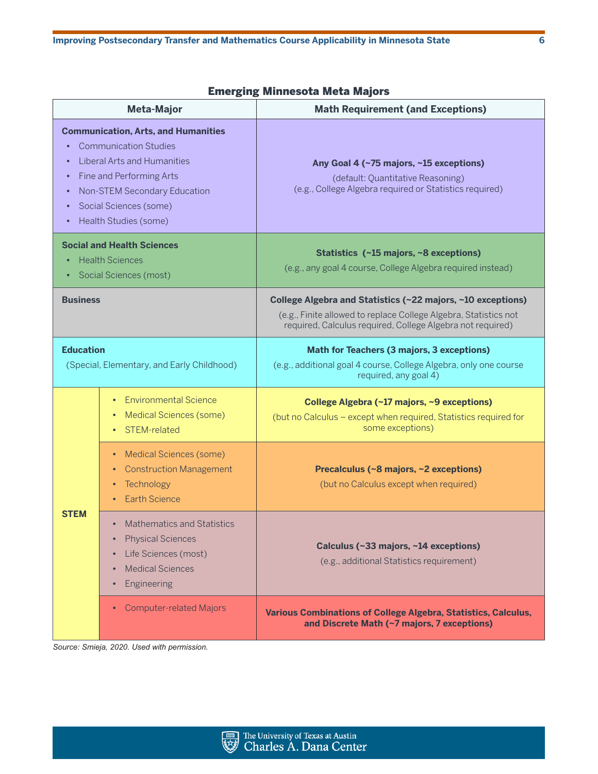|  | <b>Emerging Minnesota Meta Majors</b> |  |  |
|--|---------------------------------------|--|--|
|--|---------------------------------------|--|--|

| <b>Meta-Major</b>                                                                                                                                                                                                                                                             |                                                                                                                                                                | <b>Math Requirement (and Exceptions)</b>                                                                                                                                                      |  |
|-------------------------------------------------------------------------------------------------------------------------------------------------------------------------------------------------------------------------------------------------------------------------------|----------------------------------------------------------------------------------------------------------------------------------------------------------------|-----------------------------------------------------------------------------------------------------------------------------------------------------------------------------------------------|--|
| <b>Communication, Arts, and Humanities</b><br><b>Communication Studies</b><br><b>Liberal Arts and Humanities</b><br>Fine and Performing Arts<br>$\bullet$<br><b>Non-STEM Secondary Education</b><br>$\bullet$<br>Social Sciences (some)<br>Health Studies (some)<br>$\bullet$ |                                                                                                                                                                | Any Goal 4 (~75 majors, ~15 exceptions)<br>(default: Quantitative Reasoning)<br>(e.g., College Algebra required or Statistics required)                                                       |  |
| <b>Social and Health Sciences</b><br><b>Health Sciences</b><br>$\bullet$<br><b>Social Sciences (most)</b><br>٠                                                                                                                                                                |                                                                                                                                                                | Statistics (~15 majors, ~8 exceptions)<br>(e.g., any goal 4 course, College Algebra required instead)                                                                                         |  |
| <b>Business</b>                                                                                                                                                                                                                                                               |                                                                                                                                                                | College Algebra and Statistics (~22 majors, ~10 exceptions)<br>(e.g., Finite allowed to replace College Algebra, Statistics not<br>required, Calculus required, College Algebra not required) |  |
| <b>Education</b><br>(Special, Elementary, and Early Childhood)                                                                                                                                                                                                                |                                                                                                                                                                | <b>Math for Teachers (3 majors, 3 exceptions)</b><br>(e.g., additional goal 4 course, College Algebra, only one course<br>required, any goal 4)                                               |  |
| <b>STEM</b>                                                                                                                                                                                                                                                                   | <b>Environmental Science</b><br>$\bullet$<br><b>Medical Sciences (some)</b><br>$\bullet$<br>• STEM-related                                                     | College Algebra (~17 majors, ~9 exceptions)<br>(but no Calculus - except when required, Statistics required for<br>some exceptions)                                                           |  |
|                                                                                                                                                                                                                                                                               | • Medical Sciences (some)<br><b>Construction Management</b><br>٠<br>Technology<br>$\bullet$<br><b>Earth Science</b>                                            | Precalculus (~8 majors, ~2 exceptions)<br>(but no Calculus except when required)                                                                                                              |  |
|                                                                                                                                                                                                                                                                               | <b>Mathematics and Statistics</b><br>$\bullet$<br><b>Physical Sciences</b><br>Life Sciences (most)<br>٠<br><b>Medical Sciences</b><br>$\bullet$<br>Engineering | Calculus (~33 majors, ~14 exceptions)<br>(e.g., additional Statistics requirement)                                                                                                            |  |
|                                                                                                                                                                                                                                                                               | <b>Computer-related Majors</b>                                                                                                                                 | Various Combinations of College Algebra, Statistics, Calculus,<br>and Discrete Math (~7 majors, 7 exceptions)                                                                                 |  |

*Source: Smieja, 2020. Used with permission.*

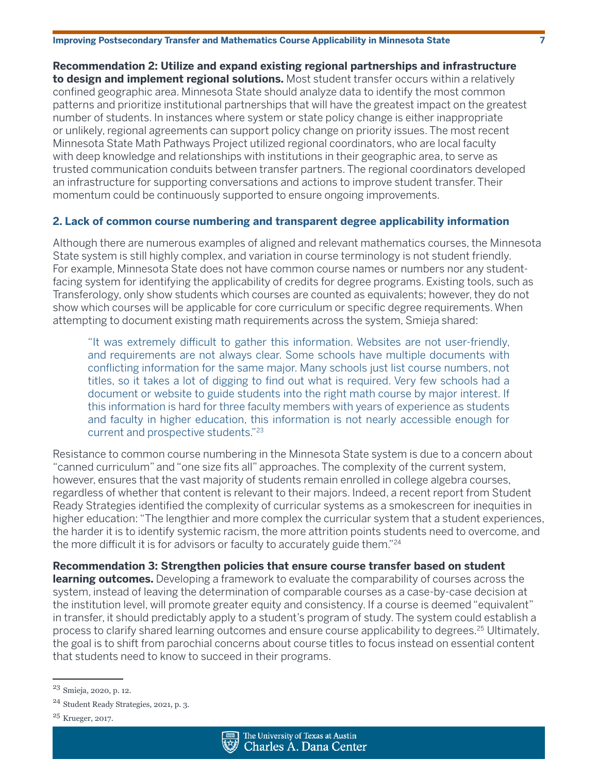**Recommendation 2: Utilize and expand existing regional partnerships and infrastructure to design and implement regional solutions.** Most student transfer occurs within a relatively confined geographic area. Minnesota State should analyze data to identify the most common patterns and prioritize institutional partnerships that will have the greatest impact on the greatest number of students. In instances where system or state policy change is either inappropriate or unlikely, regional agreements can support policy change on priority issues. The most recent Minnesota State Math Pathways Project utilized regional coordinators, who are local faculty with deep knowledge and relationships with institutions in their geographic area, to serve as trusted communication conduits between transfer partners. The regional coordinators developed an infrastructure for supporting conversations and actions to improve student transfer. Their momentum could be continuously supported to ensure ongoing improvements.

### **2. Lack of common course numbering and transparent degree applicability information**

Although there are numerous examples of aligned and relevant mathematics courses, the Minnesota State system is still highly complex, and variation in course terminology is not student friendly. For example, Minnesota State does not have common course names or numbers nor any studentfacing system for identifying the applicability of credits for degree programs. Existing tools, such as Transferology, only show students which courses are counted as equivalents; however, they do not show which courses will be applicable for core curriculum or specific degree requirements. When attempting to document existing math requirements across the system, Smieja shared:

"It was extremely difficult to gather this information. Websites are not user-friendly, and requirements are not always clear. Some schools have multiple documents with conflicting information for the same major. Many schools just list course numbers, not titles, so it takes a lot of digging to find out what is required. Very few schools had a document or website to guide students into the right math course by major interest. If this information is hard for three faculty members with years of experience as students and faculty in higher education, this information is not nearly accessible enough for current and prospective students."<sup>23</sup>

Resistance to common course numbering in the Minnesota State system is due to a concern about "canned curriculum" and "one size fits all" approaches. The complexity of the current system, however, ensures that the vast majority of students remain enrolled in college algebra courses, regardless of whether that content is relevant to their majors. Indeed, a recent report from Student Ready Strategies identified the complexity of curricular systems as a smokescreen for inequities in higher education: "The lengthier and more complex the curricular system that a student experiences, the harder it is to identify systemic racism, the more attrition points students need to overcome, and the more difficult it is for advisors or faculty to accurately guide them." $24$ 

**Recommendation 3: Strengthen policies that ensure course transfer based on student learning outcomes.** Developing a framework to evaluate the comparability of courses across the system, instead of leaving the determination of comparable courses as a case-by-case decision at the institution level, will promote greater equity and consistency. If a course is deemed "equivalent" in transfer, it should predictably apply to a student's program of study. The system could establish a process to clarify shared learning outcomes and ensure course applicability to degrees.<sup>25</sup> Ultimately, the goal is to shift from parochial concerns about course titles to focus instead on essential content that students need to know to succeed in their programs.



<sup>23</sup> Smieja, 2020, p. 12.

<sup>24</sup> Student Ready Strategies, 2021, p. 3.

<sup>25</sup> Krueger, 2017.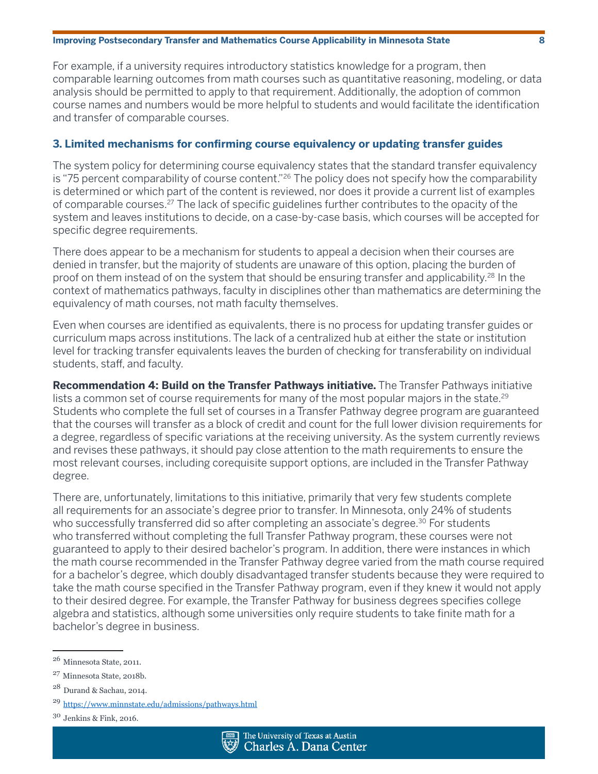For example, if a university requires introductory statistics knowledge for a program, then comparable learning outcomes from math courses such as quantitative reasoning, modeling, or data analysis should be permitted to apply to that requirement. Additionally, the adoption of common course names and numbers would be more helpful to students and would facilitate the identification and transfer of comparable courses.

### **3. Limited mechanisms for confirming course equivalency or updating transfer guides**

The system policy for determining course equivalency states that the standard transfer equivalency is "75 percent comparability of course content."<sup>26</sup> The policy does not specify how the comparability is determined or which part of the content is reviewed, nor does it provide a current list of examples of comparable courses.<sup>27</sup> The lack of specific guidelines further contributes to the opacity of the system and leaves institutions to decide, on a case-by-case basis, which courses will be accepted for specific degree requirements.

There does appear to be a mechanism for students to appeal a decision when their courses are denied in transfer, but the majority of students are unaware of this option, placing the burden of proof on them instead of on the system that should be ensuring transfer and applicability.<sup>28</sup> In the context of mathematics pathways, faculty in disciplines other than mathematics are determining the equivalency of math courses, not math faculty themselves.

Even when courses are identified as equivalents, there is no process for updating transfer guides or curriculum maps across institutions. The lack of a centralized hub at either the state or institution level for tracking transfer equivalents leaves the burden of checking for transferability on individual students, staff, and faculty.

**Recommendation 4: Build on the Transfer Pathways initiative.** The Transfer Pathways initiative lists a common set of course requirements for many of the most popular majors in the state.<sup>29</sup> Students who complete the full set of courses in a Transfer Pathway degree program are guaranteed that the courses will transfer as a block of credit and count for the full lower division requirements for a degree, regardless of specific variations at the receiving university. As the system currently reviews and revises these pathways, it should pay close attention to the math requirements to ensure the most relevant courses, including corequisite support options, are included in the Transfer Pathway degree.

There are, unfortunately, limitations to this initiative, primarily that very few students complete all requirements for an associate's degree prior to transfer. In Minnesota, only 24% of students who successfully transferred did so after completing an associate's degree.<sup>30</sup> For students who transferred without completing the full Transfer Pathway program, these courses were not guaranteed to apply to their desired bachelor's program. In addition, there were instances in which the math course recommended in the Transfer Pathway degree varied from the math course required for a bachelor's degree, which doubly disadvantaged transfer students because they were required to take the math course specified in the Transfer Pathway program, even if they knew it would not apply to their desired degree. For example, the Transfer Pathway for business degrees specifies college algebra and statistics, although some universities only require students to take finite math for a bachelor's degree in business.

<sup>26</sup> Minnesota State, 2011.

<sup>27</sup> Minnesota State, 2018b.

<sup>28</sup> Durand & Sachau, 2014.

<sup>29</sup> <https://www.minnstate.edu/admissions/pathways.html>

 $30$  Jenkins & Fink, 2016.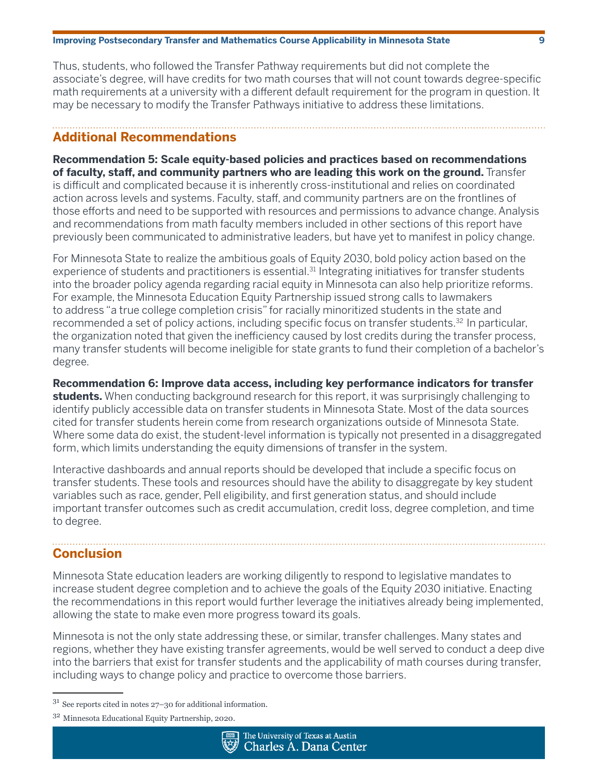Thus, students, who followed the Transfer Pathway requirements but did not complete the associate's degree, will have credits for two math courses that will not count towards degree-specific math requirements at a university with a different default requirement for the program in question. It may be necessary to modify the Transfer Pathways initiative to address these limitations.

### **Additional Recommendations**

**Recommendation 5: Scale equity-based policies and practices based on recommendations of faculty, staff, and community partners who are leading this work on the ground.** Transfer is difficult and complicated because it is inherently cross-institutional and relies on coordinated action across levels and systems. Faculty, staff, and community partners are on the frontlines of those efforts and need to be supported with resources and permissions to advance change. Analysis and recommendations from math faculty members included in other sections of this report have previously been communicated to administrative leaders, but have yet to manifest in policy change.

For Minnesota State to realize the ambitious goals of Equity 2030, bold policy action based on the experience of students and practitioners is essential.<sup>31</sup> Integrating initiatives for transfer students into the broader policy agenda regarding racial equity in Minnesota can also help prioritize reforms. For example, the Minnesota Education Equity Partnership issued strong calls to lawmakers to address "a true college completion crisis" for racially minoritized students in the state and recommended a set of policy actions, including specific focus on transfer students. $32 \text{ In particular}$ , the organization noted that given the inefficiency caused by lost credits during the transfer process, many transfer students will become ineligible for state grants to fund their completion of a bachelor's degree.

**Recommendation 6: Improve data access, including key performance indicators for transfer students.** When conducting background research for this report, it was surprisingly challenging to identify publicly accessible data on transfer students in Minnesota State. Most of the data sources cited for transfer students herein come from research organizations outside of Minnesota State. Where some data do exist, the student-level information is typically not presented in a disaggregated form, which limits understanding the equity dimensions of transfer in the system.

Interactive dashboards and annual reports should be developed that include a specific focus on transfer students. These tools and resources should have the ability to disaggregate by key student variables such as race, gender, Pell eligibility, and first generation status, and should include important transfer outcomes such as credit accumulation, credit loss, degree completion, and time to degree.

## **Conclusion**

Minnesota State education leaders are working diligently to respond to legislative mandates to increase student degree completion and to achieve the goals of the Equity 2030 initiative. Enacting the recommendations in this report would further leverage the initiatives already being implemented, allowing the state to make even more progress toward its goals.

Minnesota is not the only state addressing these, or similar, transfer challenges. Many states and regions, whether they have existing transfer agreements, would be well served to conduct a deep dive into the barriers that exist for transfer students and the applicability of math courses during transfer, including ways to change policy and practice to overcome those barriers.

<sup>32</sup> Minnesota Educational Equity Partnership, 2020.



<sup>31</sup> See reports cited in notes 27–30 for additional information.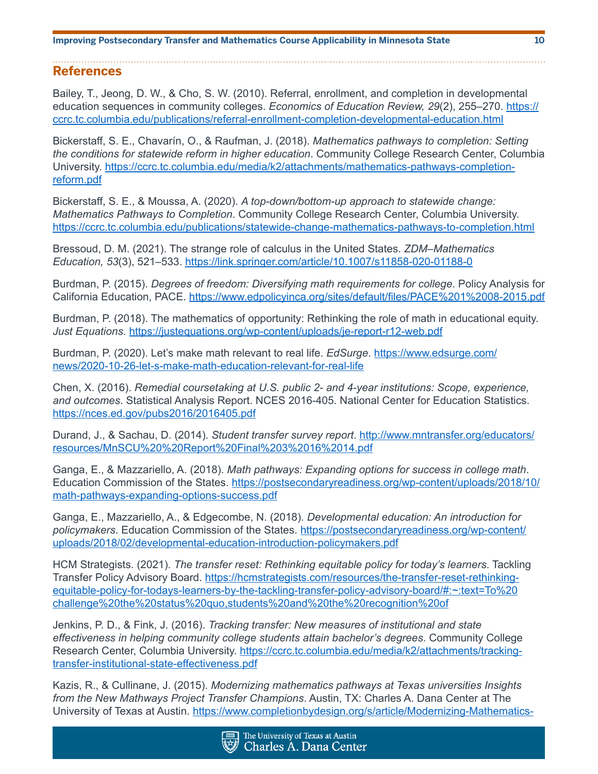### **References**

Bailey, T., Jeong, D. W., & Cho, S. W. (2010). Referral, enrollment, and completion in developmental education sequences in community colleges. *Economics of Education Review, 29*(2), 255–270. [https://](https://ccrc.tc.columbia.edu/publications/referral-enrollment-completion-developmental-education.htm) [ccrc.tc.columbia.edu/publications/referral-enrollment-completion-developmental-education.html](https://ccrc.tc.columbia.edu/publications/referral-enrollment-completion-developmental-education.htm)

Bickerstaff, S. E., Chavarín, O., & Raufman, J. (2018). *Mathematics pathways to completion: Setting the conditions for statewide reform in higher education*. Community College Research Center, Columbia University. [https://ccrc.tc.columbia.edu/media/k2/attachments/mathematics-pathways-completion](https://ccrc.tc.columbia.edu/media/k2/attachments/mathematics-pathways-completion-reform.pdf)[reform.pdf](https://ccrc.tc.columbia.edu/media/k2/attachments/mathematics-pathways-completion-reform.pdf)

Bickerstaff, S. E., & Moussa, A. (2020). *A top-down/bottom-up approach to statewide change: Mathematics Pathways to Completion*. Community College Research Center, Columbia University. <https://ccrc.tc.columbia.edu/publications/statewide-change-mathematics-pathways-to-completion.html>

Bressoud, D. M. (2021). The strange role of calculus in the United States. *ZDM–Mathematics Education, 53*(3), 521–533. <https://link.springer.com/article/10.1007/s11858-020-01188-0>

Burdman, P. (2015). *Degrees of freedom: Diversifying math requirements for college*. Policy Analysis for California Education, PACE. [https://www.edpolicyinca.org/sites/default/files/PACE%201%2008-2015.pdf](https://www.edpolicyinca.org/sites/default/files/PACE%201%2008-2015.pdf )

Burdman, P. (2018). The mathematics of opportunity: Rethinking the role of math in educational equity. *Just Equations*.<https://justequations.org/wp-content/uploads/je-report-r12-web.pdf>

Burdman, P. (2020). Let's make math relevant to real life. *EdSurge*. [https://www.edsurge.com/](https://www.edsurge.com/news/2020-10-26-let-s-make-math-education-relevant-for-real-life) [news/2020-10-26-let-s-make-math-education-relevant-for-real-life](https://www.edsurge.com/news/2020-10-26-let-s-make-math-education-relevant-for-real-life)

Chen, X. (2016). *Remedial coursetaking at U.S. public 2- and 4-year institutions: Scope, experience, and outcomes*. Statistical Analysis Report. NCES 2016-405. National Center for Education Statistics. <https://nces.ed.gov/pubs2016/2016405.pdf>

Durand, J., & Sachau, D. (2014). *Student transfer survey report*. [http://www.mntransfer.org/educators/](http://www.mntransfer.org/educators/resources/MnSCU%20%20Report%20Final%203%2016%2014.pdf) [resources/MnSCU%20%20Report%20Final%203%2016%2014.pdf](http://www.mntransfer.org/educators/resources/MnSCU%20%20Report%20Final%203%2016%2014.pdf)

Ganga, E., & Mazzariello, A. (2018). *Math pathways: Expanding options for success in college math*. Education Commission of the States. [https://postsecondaryreadiness.org/wp-content/uploads/2018/10/](https://postsecondaryreadiness.org/wp-content/uploads/2018/10/math-pathways-expanding-options-succes) [math-pathways-expanding-options-success.pdf](https://postsecondaryreadiness.org/wp-content/uploads/2018/10/math-pathways-expanding-options-succes)

Ganga, E., Mazzariello, A., & Edgecombe, N. (2018). *Developmental education: An introduction for policymakers*. Education Commission of the States. [https://postsecondaryreadiness.org/wp-content/](https://postsecondaryreadiness.org/wp-content/uploads/2018/02/developmental-education-introduction-p) [uploads/2018/02/developmental-education-introduction-policymakers.pdf](https://postsecondaryreadiness.org/wp-content/uploads/2018/02/developmental-education-introduction-p)

HCM Strategists. (2021). *The transfer reset: Rethinking equitable policy for today's learners*. Tackling Transfer Policy Advisory Board. [https://hcmstrategists.com/resources/the-transfer-reset-rethinking](https://hcmstrategists.com/resources/the-transfer-reset-rethinking-equitable-policy-for-todays-learn)[equitable-policy-for-todays-learners-by-the-tackling-transfer-policy-advisory-board/#:~:text=To%20](https://hcmstrategists.com/resources/the-transfer-reset-rethinking-equitable-policy-for-todays-learn) [challenge%20the%20status%20quo,students%20and%20the%20recognition%20of](https://hcmstrategists.com/resources/the-transfer-reset-rethinking-equitable-policy-for-todays-learn)

Jenkins, P. D., & Fink, J. (2016). *Tracking transfer: New measures of institutional and state effectiveness in helping community college students attain bachelor's degrees*. Community College Research Center, Columbia University. [https://ccrc.tc.columbia.edu/media/k2/attachments/tracking](https://ccrc.tc.columbia.edu/media/k2/attachments/tracking-transfer-institutional-state-effectivenes)[transfer-institutional-state-effectiveness.pdf](https://ccrc.tc.columbia.edu/media/k2/attachments/tracking-transfer-institutional-state-effectivenes)

Kazis, R., & Cullinane, J. (2015). *Modernizing mathematics pathways at Texas universities Insights from the New Mathways Project Transfer Champions*. Austin, TX: Charles A. Dana Center at The University of Texas at Austin. [https://www.completionbydesign.org/s/article/Modernizing-Mathematics-](https://www.completionbydesign.org/s/article/Modernizing-Mathematics-Pathways-at-Texas-Universities-)

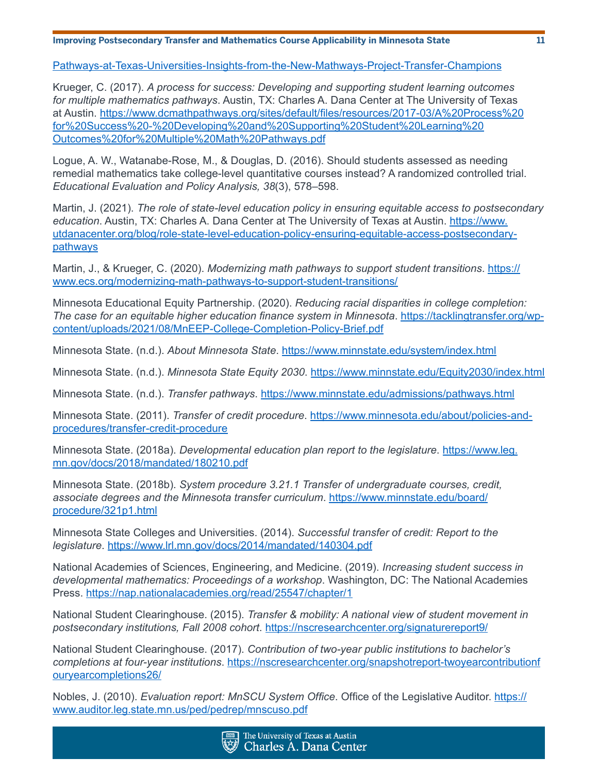[Pathways-at-Texas-Universities-Insights-from-the-New-Mathways-Project-Transfer-Champions](https://www.completionbydesign.org/s/article/Modernizing-Mathematics-Pathways-at-Texas-Universities-)

Krueger, C. (2017). *A process for success: Developing and supporting student learning outcomes for multiple mathematics pathways*. Austin, TX: Charles A. Dana Center at The University of Texas at Austin. [https://www.dcmathpathways.org/sites/default/files/resources/2017-03/A%20Process%20](https://www.dcmathpathways.org/sites/default/files/resources/2017-03/A%20Process%20for%20Success%20-) [for%20Success%20-%20Developing%20and%20Supporting%20Student%20Learning%20](https://www.dcmathpathways.org/sites/default/files/resources/2017-03/A%20Process%20for%20Success%20-) [Outcomes%20for%20Multiple%20Math%20Pathways.pdf](https://www.dcmathpathways.org/sites/default/files/resources/2017-03/A%20Process%20for%20Success%20-)

Logue, A. W., Watanabe-Rose, M., & Douglas, D. (2016). Should students assessed as needing remedial mathematics take college-level quantitative courses instead? A randomized controlled trial. *Educational Evaluation and Policy Analysis, 38*(3), 578–598.

Martin, J. (2021). *The role of state-level education policy in ensuring equitable access to postsecondary*  education. Austin, TX: Charles A. Dana Center at The University of Texas at Austin. [https://www.](https://www.utdanacenter.org/blog/role-state-level-education-policy-ensuring-equitable-access-postse) [utdanacenter.org/blog/role-state-level-education-policy-ensuring-equitable-access-postsecondary](https://www.utdanacenter.org/blog/role-state-level-education-policy-ensuring-equitable-access-postse)[pathways](https://www.utdanacenter.org/blog/role-state-level-education-policy-ensuring-equitable-access-postse)

Martin, J., & Krueger, C. (2020). *Modernizing math pathways to support student transitions*. [https://](https://www.ecs.org/modernizing-math-pathways-to-support-student-transitions/) [www.ecs.org/modernizing-math-pathways-to-support-student-transitions/](https://www.ecs.org/modernizing-math-pathways-to-support-student-transitions/)

Minnesota Educational Equity Partnership. (2020). *Reducing racial disparities in college completion: The case for an equitable higher education finance system in Minnesota*. [https://tacklingtransfer.org/wp](https://tacklingtransfer.org/wp-content/uploads/2021/08/MnEEP-College-Completion-Policy-Brief.pdf)[content/uploads/2021/08/MnEEP-College-Completion-Policy-Brief.pdf](https://tacklingtransfer.org/wp-content/uploads/2021/08/MnEEP-College-Completion-Policy-Brief.pdf)

Minnesota State. (n.d.). *About Minnesota State*. <https://www.minnstate.edu/system/index.html>

Minnesota State. (n.d.). *Minnesota State Equity 2030*. [https://www.minnstate.edu/Equity2030/index.html](https://www.minnstate.edu/Equity2030/index.html )

Minnesota State. (n.d.). *Transfer pathways*.<https://www.minnstate.edu/admissions/pathways.html>

Minnesota State. (2011). *Transfer of credit procedure*. [https://www.minnesota.edu/about/policies-and](https://www.minnesota.edu/about/policies-and-procedures/transfer-credit-procedure)[procedures/transfer-credit-procedure](https://www.minnesota.edu/about/policies-and-procedures/transfer-credit-procedure)

Minnesota State. (2018a). *Developmental education plan report to the legislature*. [https://www.leg.](https://www.leg.mn.gov/docs/2018/mandated/180210.pdf) [mn.gov/docs/2018/mandated/180210.pdf](https://www.leg.mn.gov/docs/2018/mandated/180210.pdf)

Minnesota State. (2018b). *System procedure 3.21.1 Transfer of undergraduate courses, credit, associate degrees and the Minnesota transfer curriculum*. [https://www.minnstate.edu/board/](https://www.minnstate.edu/board/procedure/321p1.html) [procedure/321p1.html](https://www.minnstate.edu/board/procedure/321p1.html)

Minnesota State Colleges and Universities. (2014). *Successful transfer of credit: Report to the legislature*.<https://www.lrl.mn.gov/docs/2014/mandated/140304.pdf>

National Academies of Sciences, Engineering, and Medicine. (2019). *Increasing student success in developmental mathematics: Proceedings of a workshop*. Washington, DC: The National Academies Press.<https://nap.nationalacademies.org/read/25547/chapter/1>

National Student Clearinghouse. (2015). *Transfer & mobility: A national view of student movement in postsecondary institutions, Fall 2008 cohort*. <https://nscresearchcenter.org/signaturereport9/>

National Student Clearinghouse. (2017). *Contribution of two-year public institutions to bachelor's completions at four-year institutions*. [https://nscresearchcenter.org/snapshotreport-twoyearcontributionf](https://nscresearchcenter.org/snapshotreport-twoyearcontributionfouryearcompletions26/) [ouryearcompletions26/](https://nscresearchcenter.org/snapshotreport-twoyearcontributionfouryearcompletions26/)

Nobles, J. (2010). *Evaluation report: MnSCU System Office*. Office of the Legislative Auditor. [https://](https://www.auditor.leg.state.mn.us/ped/pedrep/mnscuso.pdf) [www.auditor.leg.state.mn.us/ped/pedrep/mnscuso.pdf](https://www.auditor.leg.state.mn.us/ped/pedrep/mnscuso.pdf)